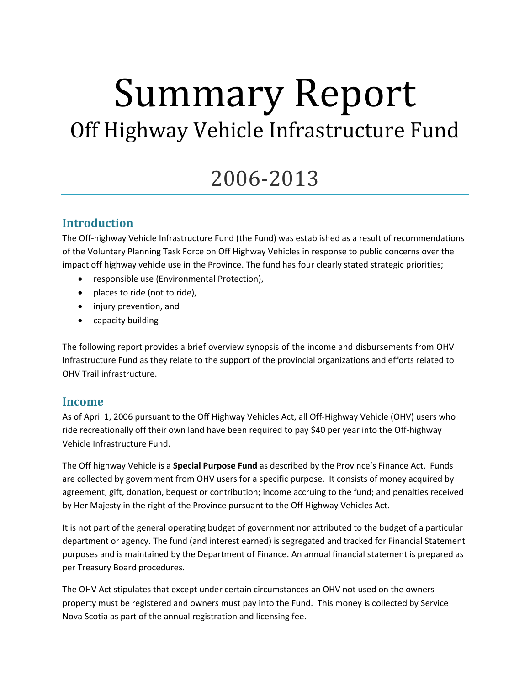# Summary Report Off Highway Vehicle Infrastructure Fund

# 2006-2013

# **Introduction**

The Off-highway Vehicle Infrastructure Fund (the Fund) was established as a result of recommendations of the Voluntary Planning Task Force on Off Highway Vehicles in response to public concerns over the impact off highway vehicle use in the Province. The fund has four clearly stated strategic priorities;

- responsible use (Environmental Protection),
- places to ride (not to ride),
- injury prevention, and
- capacity building

The following report provides a brief overview synopsis of the income and disbursements from OHV Infrastructure Fund as they relate to the support of the provincial organizations and efforts related to OHV Trail infrastructure.

#### **Income**

As of April 1, 2006 pursuant to the Off Highway Vehicles Act, all Off-Highway Vehicle (OHV) users who ride recreationally off their own land have been required to pay \$40 per year into the Off-highway Vehicle Infrastructure Fund.

The Off highway Vehicle is a **Special Purpose Fund** as described by the Province's Finance Act. Funds are collected by government from OHV users for a specific purpose. It consists of money acquired by agreement, gift, donation, bequest or contribution; income accruing to the fund; and penalties received by Her Majesty in the right of the Province pursuant to the Off Highway Vehicles Act.

It is not part of the general operating budget of government nor attributed to the budget of a particular department or agency. The fund (and interest earned) is segregated and tracked for Financial Statement purposes and is maintained by the Department of Finance. An annual financial statement is prepared as per Treasury Board procedures.

The OHV Act stipulates that except under certain circumstances an OHV not used on the owners property must be registered and owners must pay into the Fund. This money is collected by Service Nova Scotia as part of the annual registration and licensing fee.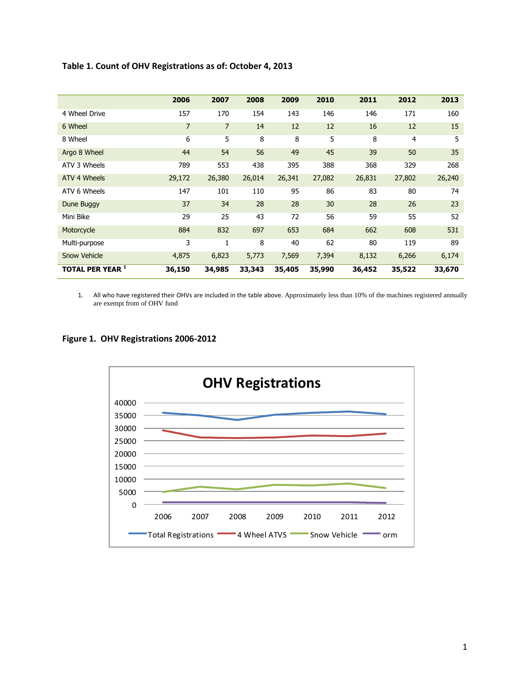|                         | 2006           | 2007           | 2008   | 2009   | 2010   | 2011   | 2012           | 2013   |
|-------------------------|----------------|----------------|--------|--------|--------|--------|----------------|--------|
| 4 Wheel Drive           | 157            | 170            | 154    | 143    | 146    | 146    | 171            | 160    |
| 6 Wheel                 | $\overline{7}$ | $\overline{7}$ | 14     | 12     | 12     | 16     | 12             | 15     |
| 8 Wheel                 | 6              | 5              | 8      | 8      | 5      | 8      | $\overline{4}$ | 5      |
| Argo 8 Wheel            | 44             | 54             | 56     | 49     | 45     | 39     | 50             | 35     |
| ATV 3 Wheels            | 789            | 553            | 438    | 395    | 388    | 368    | 329            | 268    |
| ATV 4 Wheels            | 29,172         | 26,380         | 26,014 | 26,341 | 27,082 | 26,831 | 27,802         | 26,240 |
| ATV 6 Wheels            | 147            | 101            | 110    | 95     | 86     | 83     | 80             | 74     |
| Dune Buggy              | 37             | 34             | 28     | 28     | 30     | 28     | 26             | 23     |
| Mini Bike               | 29             | 25             | 43     | 72     | 56     | 59     | 55             | 52     |
| Motorcycle              | 884            | 832            | 697    | 653    | 684    | 662    | 608            | 531    |
| Multi-purpose           | 3              | 1              | 8      | 40     | 62     | 80     | 119            | 89     |
| <b>Snow Vehicle</b>     | 4,875          | 6,823          | 5,773  | 7,569  | 7,394  | 8,132  | 6,266          | 6,174  |
| <b>TOTAL PER YEAR 1</b> | 36,150         | 34,985         | 33,343 | 35,405 | 35,990 | 36,452 | 35,522         | 33,670 |

#### **Table 1. Count of OHV Registrations as of: October 4, 2013**

1. All who have registered their OHVs are included in the table above. Approximately less than 10% of the machines registered annually are exempt from of OHV fund

#### **Figure 1. OHV Registrations 2006-2012**

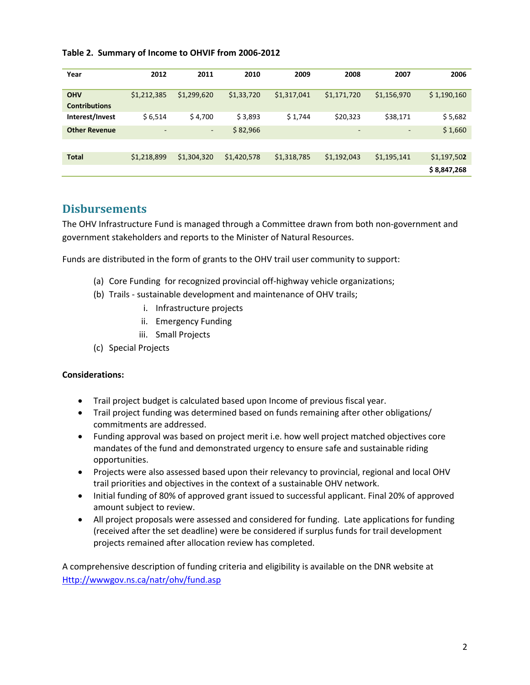|  |  | Table 2. Summary of Income to OHVIF from 2006-2012 |  |  |
|--|--|----------------------------------------------------|--|--|
|--|--|----------------------------------------------------|--|--|

| Year                               | 2012                     | 2011        | 2010        | 2009        | 2008                     | 2007        | 2006        |
|------------------------------------|--------------------------|-------------|-------------|-------------|--------------------------|-------------|-------------|
| <b>OHV</b><br><b>Contributions</b> | \$1,212,385              | \$1,299,620 | \$1,33,720  | \$1,317,041 | \$1,171,720              | \$1,156,970 | \$1,190,160 |
| Interest/Invest                    | \$6,514                  | \$4,700     | \$3,893     | \$1,744     | \$20,323                 | \$38,171    | \$5,682     |
| <b>Other Revenue</b>               | $\overline{\phantom{a}}$ | ٠           | \$82,966    |             | $\overline{\phantom{a}}$ | -           | \$1,660     |
|                                    |                          |             |             |             |                          |             |             |
| <b>Total</b>                       | \$1,218,899              | \$1,304,320 | \$1,420,578 | \$1,318,785 | \$1,192,043              | \$1,195,141 | \$1,197,502 |
|                                    |                          |             |             |             |                          |             | \$8,847,268 |

# **Disbursements**

The OHV Infrastructure Fund is managed through a Committee drawn from both non-government and government stakeholders and reports to the Minister of Natural Resources.

Funds are distributed in the form of grants to the OHV trail user community to support:

- (a) Core Funding for recognized provincial off-highway vehicle organizations;
- (b) Trails sustainable development and maintenance of OHV trails;
	- i. Infrastructure projects
	- ii. Emergency Funding
	- iii. Small Projects
- (c) Special Projects

#### **Considerations:**

- Trail project budget is calculated based upon Income of previous fiscal year.
- Trail project funding was determined based on funds remaining after other obligations/ commitments are addressed.
- Funding approval was based on project merit i.e. how well project matched objectives core mandates of the fund and demonstrated urgency to ensure safe and sustainable riding opportunities.
- Projects were also assessed based upon their relevancy to provincial, regional and local OHV trail priorities and objectives in the context of a sustainable OHV network.
- Initial funding of 80% of approved grant issued to successful applicant. Final 20% of approved amount subject to review.
- All project proposals were assessed and considered for funding. Late applications for funding (received after the set deadline) were be considered if surplus funds for trail development projects remained after allocation review has completed.

A comprehensive description of funding criteria and eligibility is available on the DNR website at [Http://wwwgov.ns.ca/natr/ohv/fund.asp](http://wwwgov.ns.ca/natr/ohv/fund.asp)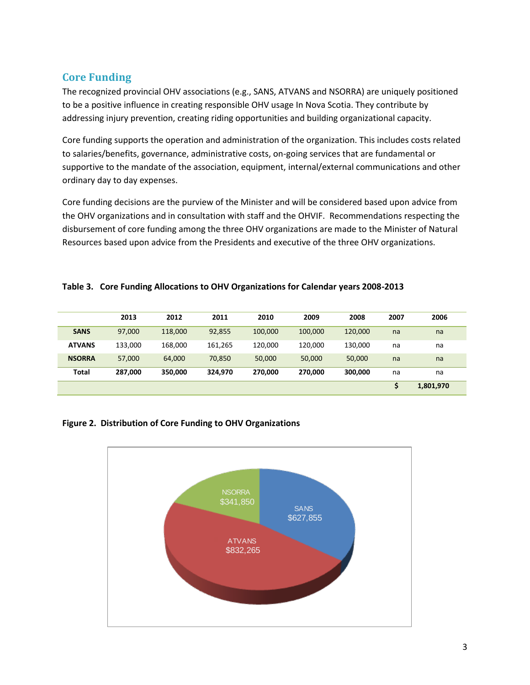# **Core Funding**

The recognized provincial OHV associations (e.g., SANS, ATVANS and NSORRA) are uniquely positioned to be a positive influence in creating responsible OHV usage In Nova Scotia. They contribute by addressing injury prevention, creating riding opportunities and building organizational capacity.

Core funding supports the operation and administration of the organization. This includes costs related to salaries/benefits, governance, administrative costs, on-going services that are fundamental or supportive to the mandate of the association, equipment, internal/external communications and other ordinary day to day expenses.

Core funding decisions are the purview of the Minister and will be considered based upon advice from the OHV organizations and in consultation with staff and the OHVIF. Recommendations respecting the disbursement of core funding among the three OHV organizations are made to the Minister of Natural Resources based upon advice from the Presidents and executive of the three OHV organizations.

|  |  |  |  |  | Table 3. Core Funding Allocations to OHV Organizations for Calendar years 2008-2013 |
|--|--|--|--|--|-------------------------------------------------------------------------------------|
|--|--|--|--|--|-------------------------------------------------------------------------------------|

|               | 2013    | 2012    | 2011    | 2010    | 2009    | 2008    | 2007   | 2006      |
|---------------|---------|---------|---------|---------|---------|---------|--------|-----------|
| <b>SANS</b>   | 97.000  | 118,000 | 92,855  | 100,000 | 100,000 | 120,000 | na     | na        |
| <b>ATVANS</b> | 133,000 | 168,000 | 161,265 | 120.000 | 120,000 | 130,000 | na     | na        |
| <b>NSORRA</b> | 57,000  | 64,000  | 70,850  | 50,000  | 50,000  | 50,000  | na     | na        |
| Total         | 287,000 | 350,000 | 324.970 | 270,000 | 270,000 | 300,000 | na     | na        |
|               |         |         |         |         |         |         | ċ<br>э | 1,801,970 |

#### **Figure 2. Distribution of Core Funding to OHV Organizations**

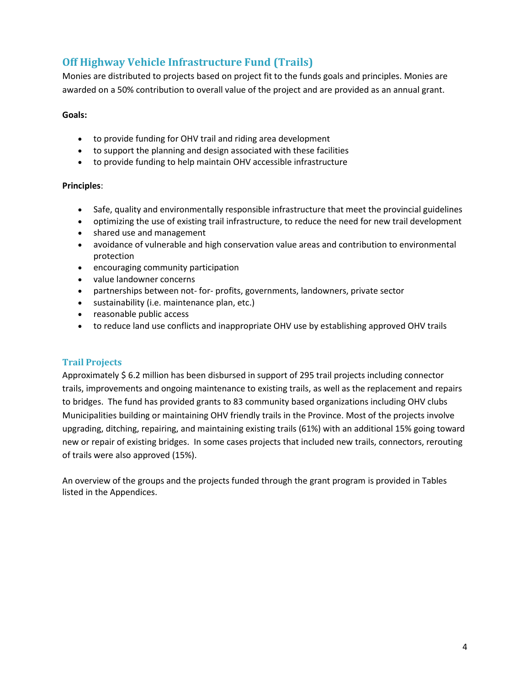# **Off Highway Vehicle Infrastructure Fund (Trails)**

Monies are distributed to projects based on project fit to the funds goals and principles. Monies are awarded on a 50% contribution to overall value of the project and are provided as an annual grant.

#### **Goals:**

- to provide funding for OHV trail and riding area development
- to support the planning and design associated with these facilities
- to provide funding to help maintain OHV accessible infrastructure

#### **Principles**:

- Safe, quality and environmentally responsible infrastructure that meet the provincial guidelines
- optimizing the use of existing trail infrastructure, to reduce the need for new trail development
- shared use and management
- avoidance of vulnerable and high conservation value areas and contribution to environmental protection
- encouraging community participation
- value landowner concerns
- partnerships between not- for- profits, governments, landowners, private sector
- sustainability (i.e. maintenance plan, etc.)
- reasonable public access
- to reduce land use conflicts and inappropriate OHV use by establishing approved OHV trails

#### **Trail Projects**

Approximately \$ 6.2 million has been disbursed in support of 295 trail projects including connector trails, improvements and ongoing maintenance to existing trails, as well as the replacement and repairs to bridges. The fund has provided grants to 83 community based organizations including OHV clubs Municipalities building or maintaining OHV friendly trails in the Province. Most of the projects involve upgrading, ditching, repairing, and maintaining existing trails (61%) with an additional 15% going toward new or repair of existing bridges. In some cases projects that included new trails, connectors, rerouting of trails were also approved (15%).

An overview of the groups and the projects funded through the grant program is provided in Tables listed in the Appendices.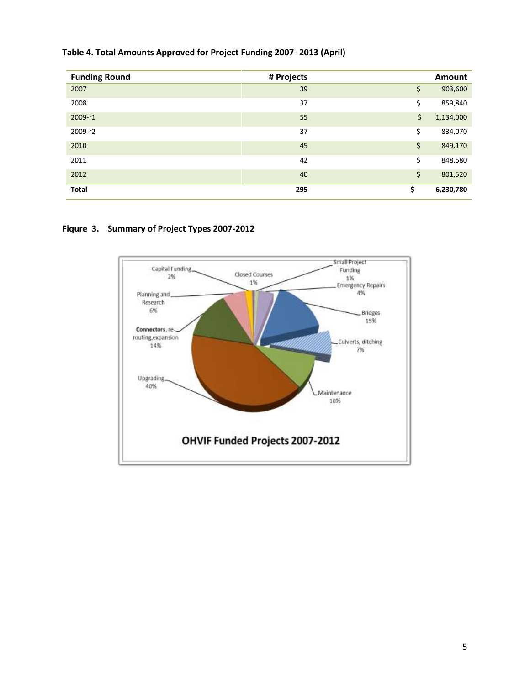#### **Table 4. Total Amounts Approved for Project Funding 2007- 2013 (April)**

| <b>Funding Round</b> | # Projects | <b>Amount</b>   |
|----------------------|------------|-----------------|
| 2007                 | 39         | \$<br>903,600   |
| 2008                 | 37         | \$<br>859,840   |
| 2009-r1              | 55         | \$<br>1,134,000 |
| 2009-r2              | 37         | \$<br>834,070   |
| 2010                 | 45         | \$<br>849,170   |
| 2011                 | 42         | \$<br>848,580   |
| 2012                 | 40         | \$<br>801,520   |
| <b>Total</b>         | 295        | \$<br>6,230,780 |

#### **Fiqure 3. Summary of Project Types 2007-2012**

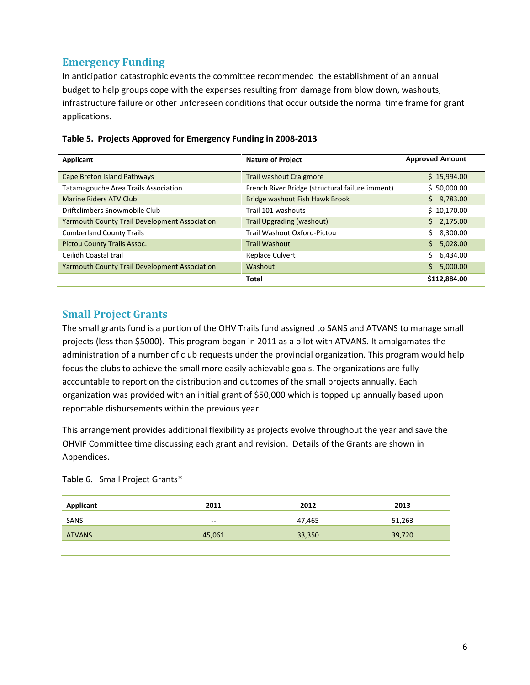# **Emergency Funding**

In anticipation catastrophic events the committee recommended the establishment of an annual budget to help groups cope with the expenses resulting from damage from blow down, washouts, infrastructure failure or other unforeseen conditions that occur outside the normal time frame for grant applications.

| Applicant                                            | <b>Nature of Project</b>                        | <b>Approved Amount</b> |
|------------------------------------------------------|-------------------------------------------------|------------------------|
| Cape Breton Island Pathways                          | <b>Trail washout Craigmore</b>                  | \$15,994.00            |
| <b>Tatamagouche Area Trails Association</b>          | French River Bridge (structural failure imment) | \$50,000.00            |
| Marine Riders ATV Club                               | Bridge washout Fish Hawk Brook                  | \$9,783.00             |
| Driftclimbers Snowmobile Club                        | Trail 101 washouts                              | \$10,170.00            |
| <b>Yarmouth County Trail Development Association</b> | Trail Upgrading (washout)                       | \$2,175.00             |
| <b>Cumberland County Trails</b>                      | Trail Washout Oxford-Pictou                     | Ś.<br>8,300.00         |
| <b>Pictou County Trails Assoc.</b>                   | <b>Trail Washout</b>                            | \$5,028.00             |
| Ceilidh Coastal trail                                | <b>Replace Culvert</b>                          | Ś.<br>6,434.00         |
| <b>Yarmouth County Trail Development Association</b> | Washout                                         | Ś.<br>5,000.00         |
|                                                      | <b>Total</b>                                    | \$112,884.00           |

#### **Table 5. Projects Approved for Emergency Funding in 2008-2013**

#### **Small Project Grants**

The small grants fund is a portion of the OHV Trails fund assigned to SANS and ATVANS to manage small projects (less than \$5000). This program began in 2011 as a pilot with ATVANS. It amalgamates the administration of a number of club requests under the provincial organization. This program would help focus the clubs to achieve the small more easily achievable goals. The organizations are fully accountable to report on the distribution and outcomes of the small projects annually. Each organization was provided with an initial grant of \$50,000 which is topped up annually based upon reportable disbursements within the previous year.

This arrangement provides additional flexibility as projects evolve throughout the year and save the OHVIF Committee time discussing each grant and revision. Details of the Grants are shown in Appendices.

Table 6. Small Project Grants\*

| <b>Applicant</b> | 2011   | 2012   | 2013   |
|------------------|--------|--------|--------|
| SANS             | $- -$  | 47.465 | 51,263 |
| <b>ATVANS</b>    | 45,061 | 33,350 | 39,720 |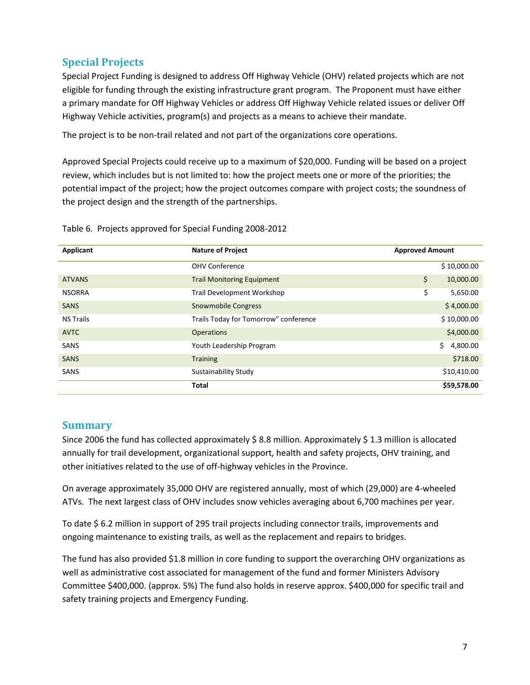# **Special Projects**

Special Project Funding is designed to address Off Highway Vehicle (OHV) related projects which are not eligible for funding through the existing infrastructure grant program. The Proponent must have either a primary mandate for Off Highway Vehicles or address Off Highway Vehicle related issues or deliver Off Highway Vehicle activities, program(s) and projects as a means to achieve their mandate.

The project is to be non-trail related and not part of the organizations core operations.

Approved Special Projects could receive up to a maximum of \$20,000. Funding will be based on a project review, which includes but is not limited to: how the project meets one or more of the priorities; the potential impact of the project; how the project outcomes compare with project costs; the soundness of the project design and the strength of the partnerships.

| Applicant        | <b>Nature of Project</b>              | <b>Approved Amount</b> |
|------------------|---------------------------------------|------------------------|
|                  | <b>OHV Conference</b>                 | \$10,000.00            |
| <b>ATVANS</b>    | <b>Trail Monitoring Equipment</b>     | \$<br>10,000.00        |
| <b>NSORRA</b>    | Trail Development Workshop            | \$<br>5,650.00         |
| <b>SANS</b>      | <b>Snowmobile Congress</b>            | \$4,000.00             |
| <b>NS Trails</b> | Trails Today for Tomorrow" conference | \$10,000.00            |
| <b>AVTC</b>      | <b>Operations</b>                     | \$4,000.00             |
| SANS             | Youth Leadership Program              | Ś.<br>4,800.00         |
| <b>SANS</b>      | <b>Training</b>                       | \$718.00               |
| SANS             | Sustainability Study                  | \$10,410.00            |
|                  | Total                                 | \$59,578.00            |

Table 6. Projects approved for Special Funding 2008-2012

#### **Summary**

Since 2006 the fund has collected approximately \$ 8.8 million. Approximately \$ 1.3 million is allocated annually for trail development, organizational support, health and safety projects, OHV training, and other initiatives related to the use of off-highway vehicles in the Province.

On average approximately 35,000 OHV are registered annually, most of which (29,000) are 4-wheeled ATVs. The next largest class of OHV includes snow vehicles averaging about 6,700 machines per year.

To date \$ 6.2 million in support of 295 trail projects including connector trails, improvements and ongoing maintenance to existing trails, as well as the replacement and repairs to bridges.

The fund has also provided \$1.8 million in core funding to support the overarching OHV organizations as well as administrative cost associated for management of the fund and former Ministers Advisory Committee \$400,000. (approx. 5%) The fund also holds in reserve approx. \$400,000 for specific trail and safety training projects and Emergency Funding.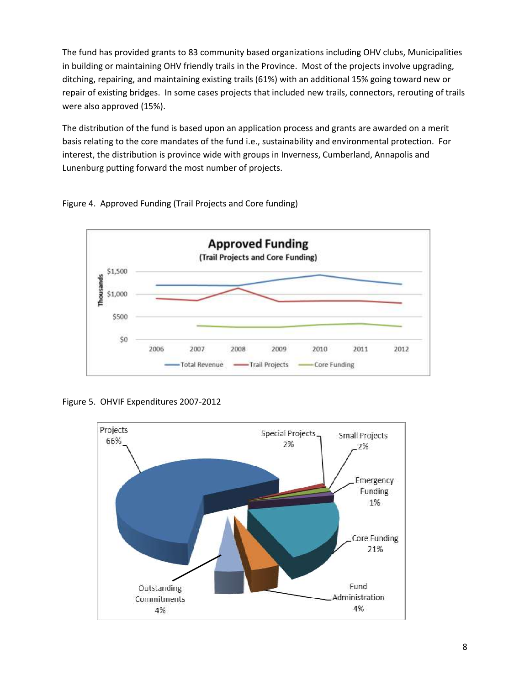The fund has provided grants to 83 community based organizations including OHV clubs, Municipalities in building or maintaining OHV friendly trails in the Province. Most of the projects involve upgrading, ditching, repairing, and maintaining existing trails (61%) with an additional 15% going toward new or repair of existing bridges. In some cases projects that included new trails, connectors, rerouting of trails were also approved (15%).

The distribution of the fund is based upon an application process and grants are awarded on a merit basis relating to the core mandates of the fund i.e., sustainability and environmental protection. For interest, the distribution is province wide with groups in Inverness, Cumberland, Annapolis and Lunenburg putting forward the most number of projects.





Figure 5. OHVIF Expenditures 2007-2012

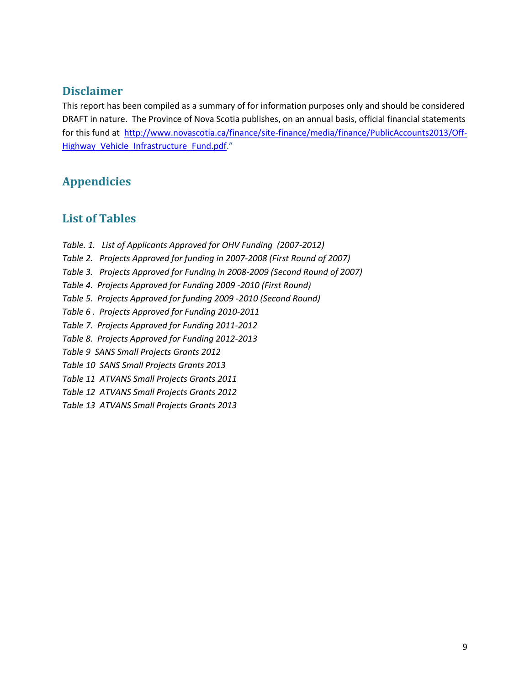# **Disclaimer**

This report has been compiled as a summary of for information purposes only and should be considered DRAFT in nature. The Province of Nova Scotia publishes, on an annual basis, official financial statements for this fund at [http://www.novascotia.ca/finance/site-finance/media/finance/PublicAccounts2013/Off-](http://www.novascotia.ca/finance/site-finance/media/finance/PublicAccounts2013/Off-Highway_Vehicle_Infrastructure_Fund.pdf)Highway Vehicle Infrastructure Fund.pdf."

# **Appendicies**

# **List of Tables**

*Table. 1. List of Applicants Approved for OHV Funding (2007-2012) Table 2. Projects Approved for funding in 2007-2008 (First Round of 2007) Table 3. Projects Approved for Funding in 2008-2009 (Second Round of 2007) Table 4. Projects Approved for Funding 2009 -2010 (First Round) Table 5. Projects Approved for funding 2009 -2010 (Second Round) Table 6 . Projects Approved for Funding 2010-2011 Table 7. Projects Approved for Funding 2011-2012 Table 8. Projects Approved for Funding 2012-2013 Table 9 SANS Small Projects Grants 2012 Table 10 SANS Small Projects Grants 2013 Table 11 ATVANS Small Projects Grants 2011 Table 12 ATVANS Small Projects Grants 2012 Table 13 ATVANS Small Projects Grants 2013*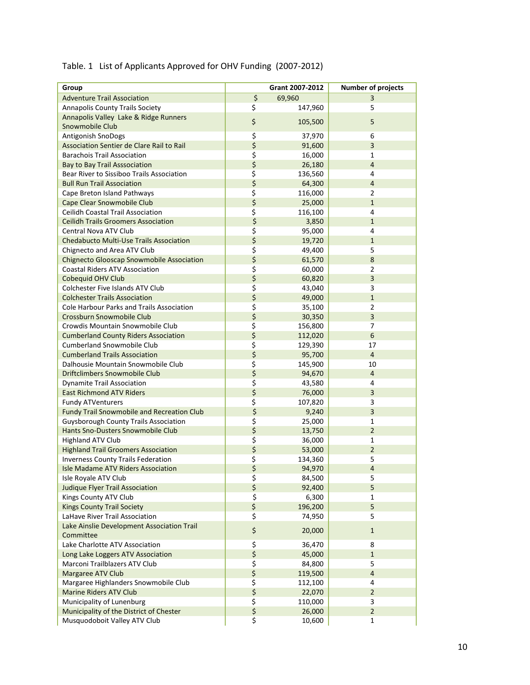#### Table. 1 List of Applicants Approved for OHV Funding (2007-2012)

| Group                                             | Grant 2007-2012 | <b>Number of projects</b> |
|---------------------------------------------------|-----------------|---------------------------|
| <b>Adventure Trail Association</b>                | \$<br>69,960    | 3                         |
| <b>Annapolis County Trails Society</b>            | \$<br>147,960   | 5                         |
| Annapolis Valley Lake & Ridge Runners             |                 |                           |
| Snowmobile Club                                   | \$<br>105,500   | 5                         |
| Antigonish SnoDogs                                | \$<br>37,970    | 6                         |
| Association Sentier de Clare Rail to Rail         | \$<br>91,600    | 3                         |
| <b>Barachois Trail Association</b>                | \$<br>16,000    | 1                         |
| <b>Bay to Bay Trail Asssociation</b>              | \$<br>26,180    | $\overline{4}$            |
| Bear River to Sissiboo Trails Association         | \$<br>136,560   | 4                         |
| <b>Bull Run Trail Association</b>                 | \$<br>64,300    | $\overline{4}$            |
| Cape Breton Island Pathways                       | \$<br>116,000   | $\overline{2}$            |
| Cape Clear Snowmobile Club                        | \$<br>25,000    | $\mathbf{1}$              |
| <b>Ceilidh Coastal Trail Association</b>          | \$<br>116,100   | 4                         |
| <b>Ceilidh Trails Groomers Association</b>        | \$<br>3,850     | $\mathbf{1}$              |
| Central Nova ATV Club                             | \$<br>95,000    | 4                         |
| Chedabucto Multi-Use Trails Association           | \$<br>19,720    | $\mathbf{1}$              |
| Chignecto and Area ATV Club                       | \$<br>49,400    | 5                         |
| <b>Chignecto Glooscap Snowmobile Association</b>  | \$<br>61,570    | 8                         |
| <b>Coastal Riders ATV Association</b>             | \$<br>60,000    | $\overline{2}$            |
| Cobequid OHV Club                                 | \$<br>60,820    | 3                         |
| <b>Colchester Five Islands ATV Club</b>           | \$<br>43,040    | 3                         |
| <b>Colchester Trails Association</b>              | \$<br>49,000    | $\mathbf{1}$              |
| Cole Harbour Parks and Trails Association         | \$<br>35,100    | $\overline{2}$            |
| Crossburn Snowmobile Club                         | \$<br>30,350    | 3                         |
| Crowdis Mountain Snowmobile Club                  | \$<br>156,800   | 7                         |
| <b>Cumberland County Riders Association</b>       | \$<br>112,020   | 6                         |
| <b>Cumberland Snowmobile Club</b>                 | \$<br>129,390   | 17                        |
| <b>Cumberland Trails Association</b>              | \$<br>95,700    | $\overline{4}$            |
| Dalhousie Mountain Snowmobile Club                | \$<br>145,900   | 10                        |
| <b>Driftclimbers Snowmobile Club</b>              | \$<br>94,670    | $\overline{4}$            |
| <b>Dynamite Trail Association</b>                 | \$<br>43,580    | 4                         |
| <b>East Richmond ATV Riders</b>                   | \$<br>76,000    | 3                         |
| <b>Fundy ATVenturers</b>                          | \$<br>107,820   | 3                         |
| <b>Fundy Trail Snowmobile and Recreation Club</b> | \$<br>9,240     | 3                         |
| <b>Guysborough County Trails Association</b>      | \$<br>25,000    | 1                         |
| Hants Sno-Dusters Snowmobile Club                 | \$<br>13,750    | $\overline{2}$            |
| <b>Highland ATV Club</b>                          | \$<br>36,000    | 1                         |
| <b>Highland Trail Groomers Association</b>        | \$<br>53,000    | $\overline{2}$            |
| <b>Inverness County Trails Federation</b>         | \$<br>134,360   | 5                         |
| <b>Isle Madame ATV Riders Association</b>         | \$<br>94,970    | 4                         |
| Isle Royale ATV Club                              | \$<br>84,500    | 5                         |
| <b>Judique Flyer Trail Association</b>            | \$<br>92,400    | 5                         |
| Kings County ATV Club                             | \$<br>6,300     | 1                         |
| <b>Kings County Trail Society</b>                 | \$<br>196,200   | 5                         |
| LaHave River Trail Association                    | \$<br>74,950    | 5.                        |
| Lake Ainslie Development Association Trail        |                 |                           |
| Committee                                         | \$<br>20,000    | $\mathbf{1}$              |
| Lake Charlotte ATV Association                    | \$<br>36,470    | 8                         |
| Long Lake Loggers ATV Association                 | \$<br>45,000    | $\mathbf{1}$              |
| Marconi Trailblazers ATV Club                     | \$<br>84,800    | 5                         |
| Margaree ATV Club                                 | \$<br>119,500   | $\overline{\mathbf{4}}$   |
| Margaree Highlanders Snowmobile Club              | \$<br>112,100   | 4                         |
| <b>Marine Riders ATV Club</b>                     | \$<br>22,070    | $\overline{2}$            |
| Municipality of Lunenburg                         | \$<br>110,000   | 3                         |
| Municipality of the District of Chester           | \$<br>26,000    | $\overline{2}$            |
| Musquodoboit Valley ATV Club                      | \$<br>10,600    | 1                         |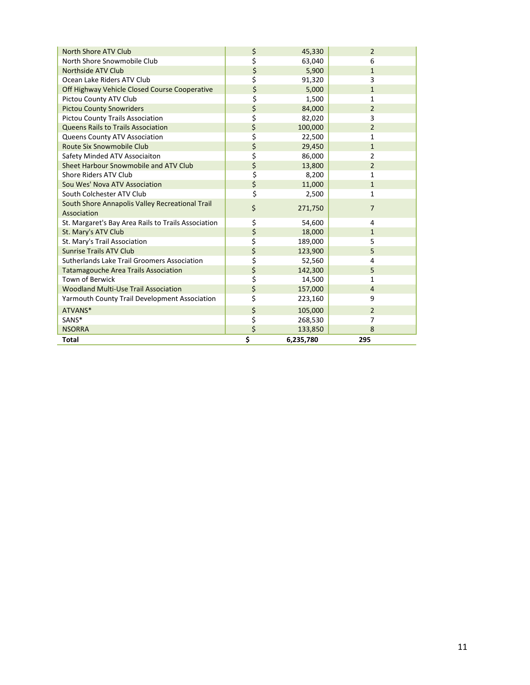| North Shore ATV Club                                | \$<br>45,330    | $\overline{2}$ |
|-----------------------------------------------------|-----------------|----------------|
| North Shore Snowmobile Club                         | \$<br>63,040    | 6              |
| Northside ATV Club                                  | \$<br>5,900     | $\mathbf{1}$   |
| Ocean Lake Riders ATV Club                          | \$<br>91,320    | 3              |
| Off Highway Vehicle Closed Course Cooperative       | \$<br>5,000     | $\mathbf{1}$   |
| Pictou County ATV Club                              | \$<br>1,500     | 1              |
| <b>Pictou County Snowriders</b>                     | \$<br>84,000    | $\overline{2}$ |
| <b>Pictou County Trails Association</b>             | \$<br>82,020    | 3              |
| <b>Queens Rails to Trails Association</b>           | \$<br>100,000   | $\overline{2}$ |
| Queens County ATV Association                       | \$<br>22,500    | 1              |
| Route Six Snowmobile Club                           | \$<br>29,450    | $\mathbf{1}$   |
| Safety Minded ATV Associaiton                       | \$<br>86,000    | $\overline{2}$ |
| Sheet Harbour Snowmobile and ATV Club               | \$<br>13,800    | $\overline{2}$ |
| Shore Riders ATV Club                               | \$<br>8,200     | 1              |
| Sou Wes' Nova ATV Association                       | \$<br>11,000    | $\mathbf{1}$   |
| South Colchester ATV Club                           | \$<br>2,500     | $\mathbf{1}$   |
| South Shore Annapolis Valley Recreational Trail     | \$<br>271,750   | $\overline{7}$ |
| Association                                         |                 |                |
| St. Margaret's Bay Area Rails to Trails Association | \$<br>54,600    | 4              |
| St. Mary's ATV Club                                 | \$<br>18,000    | $\mathbf{1}$   |
| St. Mary's Trail Association                        | \$<br>189,000   | 5              |
| <b>Sunrise Trails ATV Club</b>                      | \$<br>123,900   | 5              |
| Sutherlands Lake Trail Groomers Association         | \$<br>52,560    | 4              |
| <b>Tatamagouche Area Trails Association</b>         | \$<br>142,300   | 5              |
| <b>Town of Berwick</b>                              | \$<br>14,500    | 1              |
| <b>Woodland Multi-Use Trail Association</b>         | \$<br>157,000   | $\overline{4}$ |
| Yarmouth County Trail Development Association       | \$<br>223,160   | 9              |
| ATVANS*                                             | \$<br>105,000   | $\overline{2}$ |
| SANS*                                               | \$<br>268,530   | 7              |
| <b>NSORRA</b>                                       | \$<br>133,850   | 8              |
| <b>Total</b>                                        | \$<br>6,235,780 | 295            |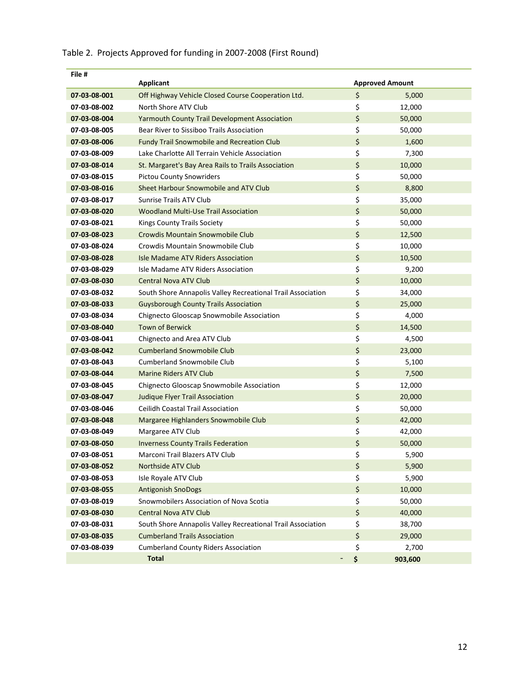| File #       | <b>Applicant</b>                                            |                      | <b>Approved Amount</b> |
|--------------|-------------------------------------------------------------|----------------------|------------------------|
| 07-03-08-001 | Off Highway Vehicle Closed Course Cooperation Ltd.          | \$                   | 5,000                  |
| 07-03-08-002 | North Shore ATV Club                                        | \$                   | 12,000                 |
| 07-03-08-004 | <b>Yarmouth County Trail Development Association</b>        | \$                   | 50,000                 |
| 07-03-08-005 | Bear River to Sissiboo Trails Association                   | \$                   | 50,000                 |
| 07-03-08-006 | <b>Fundy Trail Snowmobile and Recreation Club</b>           | \$                   | 1,600                  |
| 07-03-08-009 | Lake Charlotte All Terrain Vehicle Association              | \$                   | 7,300                  |
| 07-03-08-014 | St. Margaret's Bay Area Rails to Trails Association         | \$                   | 10,000                 |
| 07-03-08-015 | <b>Pictou County Snowriders</b>                             | \$                   | 50,000                 |
| 07-03-08-016 | Sheet Harbour Snowmobile and ATV Club                       | \$                   | 8,800                  |
| 07-03-08-017 | <b>Sunrise Trails ATV Club</b>                              | \$                   | 35,000                 |
| 07-03-08-020 | <b>Woodland Multi-Use Trail Association</b>                 | \$                   | 50,000                 |
| 07-03-08-021 | Kings County Trails Society                                 | \$                   | 50,000                 |
| 07-03-08-023 | Crowdis Mountain Snowmobile Club                            | \$                   | 12,500                 |
| 07-03-08-024 | Crowdis Mountain Snowmobile Club                            | \$                   | 10,000                 |
| 07-03-08-028 | Isle Madame ATV Riders Association                          | \$                   | 10,500                 |
| 07-03-08-029 | Isle Madame ATV Riders Association                          | \$                   | 9,200                  |
| 07-03-08-030 | <b>Central Nova ATV Club</b>                                | \$                   | 10,000                 |
| 07-03-08-032 | South Shore Annapolis Valley Recreational Trail Association | \$                   | 34,000                 |
| 07-03-08-033 | <b>Guysborough County Trails Association</b>                | \$                   | 25,000                 |
| 07-03-08-034 | Chignecto Glooscap Snowmobile Association                   | \$                   | 4,000                  |
| 07-03-08-040 | <b>Town of Berwick</b>                                      | \$                   | 14,500                 |
| 07-03-08-041 | Chignecto and Area ATV Club                                 | \$                   | 4,500                  |
| 07-03-08-042 | <b>Cumberland Snowmobile Club</b>                           | \$                   | 23,000                 |
| 07-03-08-043 | <b>Cumberland Snowmobile Club</b>                           | \$                   | 5,100                  |
| 07-03-08-044 | <b>Marine Riders ATV Club</b>                               | \$                   | 7,500                  |
| 07-03-08-045 | Chignecto Glooscap Snowmobile Association                   | \$                   | 12,000                 |
| 07-03-08-047 | <b>Judique Flyer Trail Association</b>                      | \$                   | 20,000                 |
| 07-03-08-046 | <b>Ceilidh Coastal Trail Association</b>                    | \$                   | 50,000                 |
| 07-03-08-048 | Margaree Highlanders Snowmobile Club                        | \$                   | 42,000                 |
| 07-03-08-049 | Margaree ATV Club                                           | \$                   | 42,000                 |
| 07-03-08-050 | <b>Inverness County Trails Federation</b>                   | \$                   | 50,000                 |
| 07-03-08-051 | Marconi Trail Blazers ATV Club                              | \$                   | 5,900                  |
| 07-03-08-052 | <b>Northside ATV Club</b>                                   | \$                   | 5,900                  |
| 07-03-08-053 | Isle Royale ATV Club                                        | \$                   | 5,900                  |
| 07-03-08-055 | <b>Antigonish SnoDogs</b>                                   | \$                   | 10,000                 |
| 07-03-08-019 | Snowmobilers Association of Nova Scotia                     | \$                   | 50,000                 |
| 07-03-08-030 | Central Nova ATV Club                                       | \$                   | 40,000                 |
| 07-03-08-031 | South Shore Annapolis Valley Recreational Trail Association | \$                   | 38,700                 |
| 07-03-08-035 | <b>Cumberland Trails Association</b>                        | \$                   | 29,000                 |
| 07-03-08-039 | <b>Cumberland County Riders Association</b>                 | \$                   | 2,700                  |
|              | <b>Total</b>                                                | \$<br>$\overline{a}$ | 903,600                |

# Table 2. Projects Approved for funding in 2007-2008 (First Round)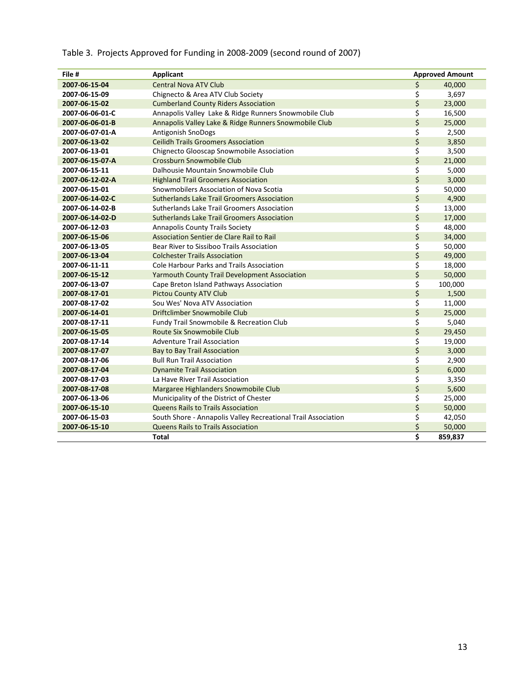| File #          | <b>Applicant</b>                                              |                                 | <b>Approved Amount</b> |
|-----------------|---------------------------------------------------------------|---------------------------------|------------------------|
| 2007-06-15-04   | <b>Central Nova ATV Club</b>                                  | \$                              | 40,000                 |
| 2007-06-15-09   | Chignecto & Area ATV Club Society                             | \$                              | 3,697                  |
| 2007-06-15-02   | <b>Cumberland County Riders Association</b>                   | \$                              | 23,000                 |
| 2007-06-06-01-C | Annapolis Valley Lake & Ridge Runners Snowmobile Club         | \$                              | 16,500                 |
| 2007-06-06-01-B | Annapolis Valley Lake & Ridge Runners Snowmobile Club         | \$                              | 25,000                 |
| 2007-06-07-01-A | Antigonish SnoDogs                                            | \$                              | 2,500                  |
| 2007-06-13-02   | <b>Ceilidh Trails Groomers Association</b>                    | \$                              | 3,850                  |
| 2007-06-13-01   | Chignecto Glooscap Snowmobile Association                     | \$                              | 3,500                  |
| 2007-06-15-07-A | Crossburn Snowmobile Club                                     | \$                              | 21,000                 |
| 2007-06-15-11   | Dalhousie Mountain Snowmobile Club                            | \$                              | 5,000                  |
| 2007-06-12-02-A | <b>Highland Trail Groomers Association</b>                    | \$                              | 3,000                  |
| 2007-06-15-01   | Snowmobilers Association of Nova Scotia                       | \$                              | 50,000                 |
| 2007-06-14-02-C | Sutherlands Lake Trail Groomers Association                   | \$                              | 4,900                  |
| 2007-06-14-02-B | Sutherlands Lake Trail Groomers Association                   | \$                              | 13,000                 |
| 2007-06-14-02-D | Sutherlands Lake Trail Groomers Association                   | \$                              | 17,000                 |
| 2007-06-12-03   | <b>Annapolis County Trails Society</b>                        | \$                              | 48,000                 |
| 2007-06-15-06   | Association Sentier de Clare Rail to Rail                     | \$                              | 34,000                 |
| 2007-06-13-05   | Bear River to Sissiboo Trails Association                     | \$                              | 50,000                 |
| 2007-06-13-04   | <b>Colchester Trails Association</b>                          | \$                              | 49,000                 |
| 2007-06-11-11   | Cole Harbour Parks and Trails Association                     | \$                              | 18,000                 |
| 2007-06-15-12   | <b>Yarmouth County Trail Development Association</b>          | \$                              | 50,000                 |
| 2007-06-13-07   | Cape Breton Island Pathways Association                       | \$                              | 100,000                |
| 2007-08-17-01   | <b>Pictou County ATV Club</b>                                 | \$                              | 1,500                  |
| 2007-08-17-02   | Sou Wes' Nova ATV Association                                 | \$                              | 11,000                 |
| 2007-06-14-01   | Driftclimber Snowmobile Club                                  | \$                              | 25,000                 |
| 2007-08-17-11   | Fundy Trail Snowmobile & Recreation Club                      | \$                              | 5,040                  |
| 2007-06-15-05   | Route Six Snowmobile Club                                     | \$                              | 29,450                 |
| 2007-08-17-14   | <b>Adventure Trail Association</b>                            | \$                              | 19,000                 |
| 2007-08-17-07   | Bay to Bay Trail Association                                  | \$                              | 3,000                  |
| 2007-08-17-06   | <b>Bull Run Trail Association</b>                             | \$                              | 2,900                  |
| 2007-08-17-04   | <b>Dynamite Trail Association</b>                             | \$                              | 6,000                  |
| 2007-08-17-03   | La Have River Trail Association                               | \$                              | 3,350                  |
| 2007-08-17-08   | Margaree Highlanders Snowmobile Club                          | \$                              | 5,600                  |
| 2007-06-13-06   | Municipality of the District of Chester                       | \$                              | 25,000                 |
| 2007-06-15-10   | <b>Queens Rails to Trails Association</b>                     | \$                              | 50,000                 |
| 2007-06-15-03   | South Shore - Annapolis Valley Recreational Trail Association | \$                              | 42,050                 |
| 2007-06-15-10   | <b>Queens Rails to Trails Association</b>                     | \$                              | 50,000                 |
|                 | Total                                                         | $\overline{\boldsymbol{\zeta}}$ | 859,837                |

# Table 3. Projects Approved for Funding in 2008-2009 (second round of 2007)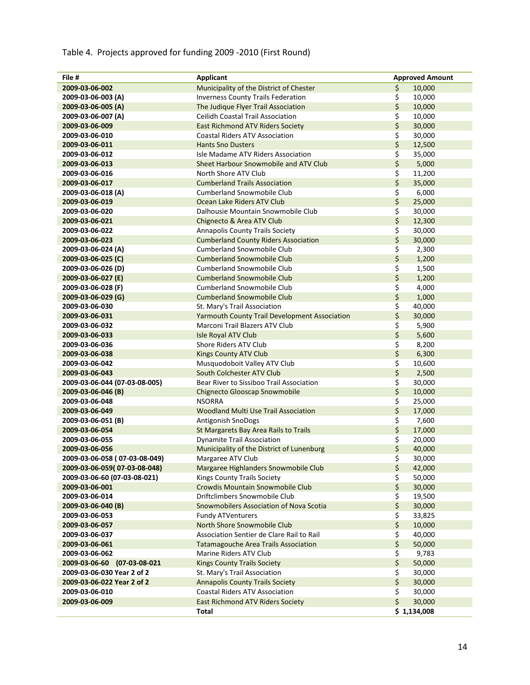# Table 4. Projects approved for funding 2009 -2010 (First Round)

| File #                        | Applicant                                            | <b>Approved Amount</b> |
|-------------------------------|------------------------------------------------------|------------------------|
| 2009-03-06-002                | Municipality of the District of Chester              | \$<br>10,000           |
| 2009-03-06-003 (A)            | <b>Inverness County Trails Federation</b>            | \$<br>10,000           |
| 2009-03-06-005 (A)            | The Judique Flyer Trail Association                  | \$<br>10,000           |
| 2009-03-06-007 (A)            | <b>Ceilidh Coastal Trail Association</b>             | \$<br>10,000           |
| 2009-03-06-009                | <b>East Richmond ATV Riders Society</b>              | \$<br>30,000           |
| 2009-03-06-010                | <b>Coastal Riders ATV Association</b>                | \$<br>30,000           |
| 2009-03-06-011                | <b>Hants Sno Dusters</b>                             | \$<br>12,500           |
| 2009-03-06-012                | Isle Madame ATV Riders Association                   | \$<br>35,000           |
| 2009-03-06-013                | Sheet Harbour Snowmobile and ATV Club                | \$<br>5,000            |
| 2009-03-06-016                | North Shore ATV Club                                 | \$<br>11,200           |
| 2009-03-06-017                | <b>Cumberland Trails Association</b>                 | \$<br>35,000           |
| 2009-03-06-018 (A)            | <b>Cumberland Snowmobile Club</b>                    | \$<br>6,000            |
| 2009-03-06-019                | Ocean Lake Riders ATV Club                           | \$<br>25,000           |
| 2009-03-06-020                | Dalhousie Mountain Snowmobile Club                   | \$<br>30,000           |
| 2009-03-06-021                | Chignecto & Area ATV Club                            | \$<br>12,300           |
| 2009-03-06-022                | Annapolis County Trails Society                      | \$<br>30,000           |
| 2009-03-06-023                | <b>Cumberland County Riders Association</b>          | \$<br>30,000           |
| 2009-03-06-024 (A)            | <b>Cumberland Snowmobile Club</b>                    | \$<br>2,300            |
| 2009-03-06-025 (C)            | <b>Cumberland Snowmobile Club</b>                    | \$<br>1,200            |
| 2009-03-06-026 (D)            | <b>Cumberland Snowmobile Club</b>                    | \$<br>1,500            |
| 2009-03-06-027 (E)            | <b>Cumberland Snowmobile Club</b>                    | \$<br>1,200            |
| 2009-03-06-028 (F)            | <b>Cumberland Snowmobile Club</b>                    | \$<br>4,000            |
| 2009-03-06-029 (G)            | <b>Cumberland Snowmobile Club</b>                    | \$<br>1,000            |
| 2009-03-06-030                | St. Mary's Trail Association                         | \$<br>40,000           |
| 2009-03-06-031                | <b>Yarmouth County Trail Development Association</b> | \$<br>30,000           |
| 2009-03-06-032                | Marconi Trail Blazers ATV Club                       | \$<br>5,900            |
| 2009-03-06-033                | Isle Royal ATV Club                                  | \$<br>5,600            |
| 2009-03-06-036                | Shore Riders ATV Club                                | \$<br>8,200            |
| 2009-03-06-038                | <b>Kings County ATV Club</b>                         | \$<br>6,300            |
| 2009-03-06-042                | Musquodoboit Valley ATV Club                         | \$<br>10,600           |
| 2009-03-06-043                | South Colchester ATV Club                            | \$<br>2,500            |
| 2009-03-06-044 (07-03-08-005) | Bear River to Sissiboo Trail Association             | \$<br>30,000           |
| 2009-03-06-046 (B)            | <b>Chignecto Glooscap Snowmobile</b>                 | \$<br>10,000           |
| 2009-03-06-048                | <b>NSORRA</b>                                        | \$<br>25,000           |
| 2009-03-06-049                | <b>Woodland Multi Use Trail Association</b>          | \$<br>17,000           |
| 2009-03-06-051 (B)            | Antigonish SnoDogs                                   | \$<br>7,600            |
| 2009-03-06-054                | St Margarets Bay Area Rails to Trails                | \$<br>17,000           |
| 2009-03-06-055                | <b>Dynamite Trail Association</b>                    | \$<br>20,000           |
| 2009-03-06-056                | Municipality of the District of Lunenburg            | \$<br>40,000           |
| 2009-03-06-058 (07-03-08-049) | Margaree ATV Club                                    | \$<br>30,000           |
| 2009-03-06-059(07-03-08-048)  | Margaree Highlanders Snowmobile Club                 | \$<br>42,000           |
| 2009-03-06-60 (07-03-08-021)  | Kings County Trails Society                          | \$<br>50,000           |
| 2009-03-06-001                | Crowdis Mountain Snowmobile Club                     | \$<br>30,000           |
| 2009-03-06-014                | Driftclimbers Snowmobile Club                        | \$<br>19,500           |
| 2009-03-06-040 (B)            | Snowmobilers Association of Nova Scotia              | \$<br>30,000           |
| 2009-03-06-053                | <b>Fundy ATVenturers</b>                             | \$<br>33,825           |
| 2009-03-06-057                | North Shore Snowmobile Club                          | \$<br>10,000           |
| 2009-03-06-037                | Association Sentier de Clare Rail to Rail            | \$<br>40,000           |
| 2009-03-06-061                | <b>Tatamagouche Area Trails Association</b>          | \$<br>50,000           |
| 2009-03-06-062                | Marine Riders ATV Club                               | \$<br>9,783            |
| 2009-03-06-60 (07-03-08-021   | <b>Kings County Trails Society</b>                   | \$<br>50,000           |
| 2009-03-06-030 Year 2 of 2    | St. Mary's Trail Association                         | \$<br>30,000           |
| 2009-03-06-022 Year 2 of 2    | <b>Annapolis County Trails Society</b>               | \$<br>30,000           |
| 2009-03-06-010                | <b>Coastal Riders ATV Association</b>                | \$<br>30,000           |
| 2009-03-06-009                | <b>East Richmond ATV Riders Society</b>              | \$<br>30,000           |
|                               | Total                                                | \$1,134,008            |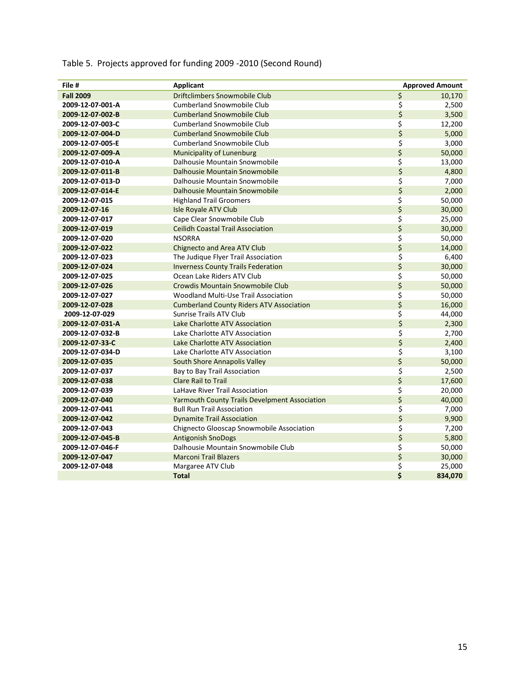| File #           | <b>Applicant</b>                                     |         | <b>Approved Amount</b> |
|------------------|------------------------------------------------------|---------|------------------------|
| <b>Fall 2009</b> | <b>Driftclimbers Snowmobile Club</b>                 | \$      | 10,170                 |
| 2009-12-07-001-A | <b>Cumberland Snowmobile Club</b>                    | \$      | 2,500                  |
| 2009-12-07-002-B | <b>Cumberland Snowmobile Club</b>                    | \$      | 3,500                  |
| 2009-12-07-003-C | <b>Cumberland Snowmobile Club</b>                    | \$      | 12,200                 |
| 2009-12-07-004-D | <b>Cumberland Snowmobile Club</b>                    | \$      | 5,000                  |
| 2009-12-07-005-E | <b>Cumberland Snowmobile Club</b>                    | \$      | 3,000                  |
| 2009-12-07-009-A | Municipality of Lunenburg                            | \$      | 50,000                 |
| 2009-12-07-010-A | Dalhousie Mountain Snowmobile                        | \$      | 13,000                 |
| 2009-12-07-011-B | <b>Dalhousie Mountain Snowmobile</b>                 | \$      | 4,800                  |
| 2009-12-07-013-D | Dalhousie Mountain Snowmobile                        | \$      | 7,000                  |
| 2009-12-07-014-E | Dalhousie Mountain Snowmobile                        | \$      | 2,000                  |
| 2009-12-07-015   | <b>Highland Trail Groomers</b>                       | \$      | 50,000                 |
| 2009-12-07-16    | <b>Isle Royale ATV Club</b>                          | \$      | 30,000                 |
| 2009-12-07-017   | Cape Clear Snowmobile Club                           | \$      | 25,000                 |
| 2009-12-07-019   | <b>Ceilidh Coastal Trail Association</b>             | \$      | 30,000                 |
| 2009-12-07-020   | <b>NSORRA</b>                                        | \$      | 50,000                 |
| 2009-12-07-022   | <b>Chignecto and Area ATV Club</b>                   | \$      | 14,000                 |
| 2009-12-07-023   | The Judique Flyer Trail Association                  | \$      | 6,400                  |
| 2009-12-07-024   | <b>Inverness County Trails Federation</b>            | \$      | 30,000                 |
| 2009-12-07-025   | Ocean Lake Riders ATV Club                           | \$      | 50,000                 |
| 2009-12-07-026   | Crowdis Mountain Snowmobile Club                     | \$      | 50,000                 |
| 2009-12-07-027   | Woodland Multi-Use Trail Association                 | \$      | 50,000                 |
| 2009-12-07-028   | <b>Cumberland County Riders ATV Association</b>      | $\zeta$ | 16,000                 |
| 2009-12-07-029   | <b>Sunrise Trails ATV Club</b>                       | \$      | 44,000                 |
| 2009-12-07-031-A | Lake Charlotte ATV Association                       | \$      | 2,300                  |
| 2009-12-07-032-B | Lake Charlotte ATV Association                       | \$      | 2,700                  |
| 2009-12-07-33-C  | <b>Lake Charlotte ATV Association</b>                | \$      | 2,400                  |
| 2009-12-07-034-D | Lake Charlotte ATV Association                       | \$      | 3,100                  |
| 2009-12-07-035   | South Shore Annapolis Valley                         | \$      | 50,000                 |
| 2009-12-07-037   | Bay to Bay Trail Association                         | \$      | 2,500                  |
| 2009-12-07-038   | <b>Clare Rail to Trail</b>                           | \$      | 17,600                 |
| 2009-12-07-039   | LaHave River Trail Association                       | \$      | 20,000                 |
| 2009-12-07-040   | <b>Yarmouth County Trails Develpment Association</b> | \$      | 40,000                 |
| 2009-12-07-041   | <b>Bull Run Trail Association</b>                    | \$      | 7,000                  |
| 2009-12-07-042   | <b>Dynamite Trail Association</b>                    | \$      | 9,900                  |
| 2009-12-07-043   | Chignecto Glooscap Snowmobile Association            | \$      | 7,200                  |
| 2009-12-07-045-B | <b>Antigonish SnoDogs</b>                            | \$      | 5,800                  |
| 2009-12-07-046-F | Dalhousie Mountain Snowmobile Club                   | \$      | 50,000                 |
| 2009-12-07-047   | <b>Marconi Trail Blazers</b>                         | \$      | 30,000                 |
| 2009-12-07-048   | Margaree ATV Club                                    | \$      | 25,000                 |
|                  | <b>Total</b>                                         | \$      | 834,070                |

# Table 5. Projects approved for funding 2009 -2010 (Second Round)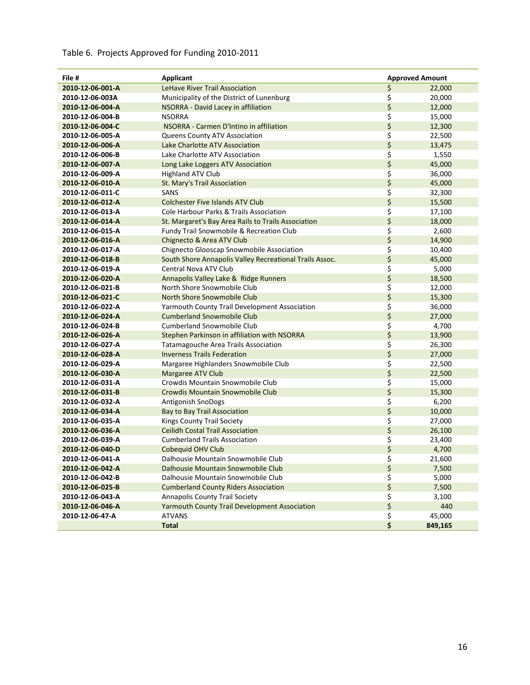# Table 6. Projects Approved for Funding 2010-2011

| File #           | <b>Applicant</b>                                        |    | <b>Approved Amount</b> |
|------------------|---------------------------------------------------------|----|------------------------|
| 2010-12-06-001-A | <b>LeHave River Trail Association</b>                   | \$ | 22,000                 |
| 2010-12-06-003A  | Municipality of the District of Lunenburg               | \$ | 20,000                 |
| 2010-12-06-004-A | NSORRA - David Lacey in affiliation                     | \$ | 12,000                 |
| 2010-12-06-004-B | <b>NSORRA</b>                                           | \$ | 15,000                 |
| 2010-12-06-004-C | NSORRA - Carmen D'Intino in affiliation                 | \$ | 12,300                 |
| 2010-12-06-005-A | Queens County ATV Association                           | \$ | 22,500                 |
| 2010-12-06-006-A | Lake Charlotte ATV Association                          | \$ | 13,475                 |
| 2010-12-06-006-B | Lake Charlotte ATV Association                          | \$ | 1,550                  |
| 2010-12-06-007-A | Long Lake Loggers ATV Association                       | \$ | 45,000                 |
| 2010-12-06-009-A | <b>Highland ATV Club</b>                                | \$ | 36,000                 |
| 2010-12-06-010-A | St. Mary's Trail Association                            | \$ | 45,000                 |
| 2010-12-06-011-C | SANS                                                    | \$ | 32,300                 |
| 2010-12-06-012-A | <b>Colchester Five Islands ATV Club</b>                 | \$ | 15,500                 |
| 2010-12-06-013-A | Cole Harbour Parks & Trails Association                 | \$ | 17,100                 |
| 2010-12-06-014-A | St. Margaret's Bay Area Rails to Trails Association     | \$ | 18,000                 |
| 2010-12-06-015-A | Fundy Trail Snowmobile & Recreation Club                | \$ | 2,600                  |
| 2010-12-06-016-A | Chignecto & Area ATV Club                               | \$ | 14,900                 |
| 2010-12-06-017-A | Chignecto Glooscap Snowmobile Association               | \$ | 10,400                 |
| 2010-12-06-018-B | South Shore Annapolis Valley Recreational Trails Assoc. | \$ | 45,000                 |
| 2010-12-06-019-A | Central Nova ATV Club                                   | \$ | 5,000                  |
| 2010-12-06-020-A | Annapolis Valley Lake & Ridge Runners                   | \$ | 18,500                 |
| 2010-12-06-021-B | North Shore Snowmobile Club                             | \$ | 12,000                 |
| 2010-12-06-021-C | North Shore Snowmobile Club                             | \$ | 15,300                 |
| 2010-12-06-022-A | Yarmouth County Trail Development Association           | \$ | 36,000                 |
| 2010-12-06-024-A | <b>Cumberland Snowmobile Club</b>                       | \$ | 27,000                 |
| 2010-12-06-024-B | <b>Cumberland Snowmobile Club</b>                       | \$ | 4,700                  |
| 2010-12-06-026-A | Stephen Parkinson in affiliation with NSORRA            | \$ | 13,900                 |
| 2010-12-06-027-A | <b>Tatamagouche Area Trails Association</b>             | \$ | 26,300                 |
| 2010-12-06-028-A | <b>Inverness Trails Federation</b>                      | \$ | 27,000                 |
| 2010-12-06-029-A | Margaree Highlanders Snowmobile Club                    | \$ | 22,500                 |
| 2010-12-06-030-A | Margaree ATV Club                                       | \$ | 22,500                 |
| 2010-12-06-031-A | Crowdis Mountain Snowmobile Club                        | \$ | 15,000                 |
| 2010-12-06-031-B | <b>Crowdis Mountain Snowmobile Club</b>                 | \$ | 15,300                 |
| 2010-12-06-032-A | Antigonish SnoDogs                                      | \$ | 6,200                  |
| 2010-12-06-034-A | <b>Bay to Bay Trail Association</b>                     | \$ | 10,000                 |
| 2010-12-06-035-A | <b>Kings County Trail Society</b>                       | \$ | 27,000                 |
| 2010-12-06-036-A | <b>Ceilidh Costal Trail Association</b>                 | \$ | 26,100                 |
| 2010-12-06-039-A | <b>Cumberland Trails Association</b>                    | \$ | 23,400                 |
| 2010-12-06-040-D | Cobequid OHV Club                                       | \$ | 4,700                  |
| 2010-12-06-041-A | Dalhousie Mountain Snowmobile Club                      | Ş  | 21,600                 |
| 2010-12-06-042-A | Dalhousie Mountain Snowmobile Club                      | \$ | 7,500                  |
| 2010-12-06-042-B | Dalhousie Mountain Snowmobile Club                      | \$ | 5,000                  |
| 2010-12-06-025-B | <b>Cumberland County Riders Association</b>             | \$ | 7,500                  |
| 2010-12-06-043-A | <b>Annapolis County Trail Society</b>                   | \$ | 3,100                  |
| 2010-12-06-046-A | <b>Yarmouth County Trail Development Association</b>    | \$ | 440                    |
| 2010-12-06-47-A  | <b>ATVANS</b>                                           | \$ | 45,000                 |
|                  | <b>Total</b>                                            | \$ | 849,165                |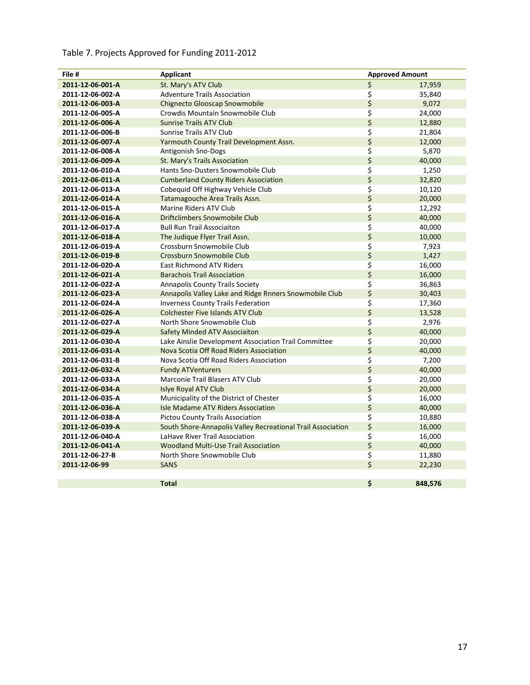# Table 7. Projects Approved for Funding 2011-2012

| File #           | <b>Applicant</b>                                            |                  | <b>Approved Amount</b> |  |
|------------------|-------------------------------------------------------------|------------------|------------------------|--|
| 2011-12-06-001-A | St. Mary's ATV Club                                         | $\overline{\xi}$ | 17,959                 |  |
| 2011-12-06-002-A | <b>Adventure Trails Association</b>                         | \$               | 35,840                 |  |
| 2011-12-06-003-A | <b>Chignecto Glooscap Snowmobile</b>                        | \$               | 9,072                  |  |
| 2011-12-06-005-A | Crowdis Mountain Snowmobile Club                            | \$               | 24,000                 |  |
| 2011-12-06-006-A | <b>Sunrise Trails ATV Club</b>                              | \$               | 12,880                 |  |
| 2011-12-06-006-B | <b>Sunrise Trails ATV Club</b>                              | \$               | 21,804                 |  |
| 2011-12-06-007-A | Yarmouth County Trail Development Assn.                     | \$               | 12,000                 |  |
| 2011-12-06-008-A | Antigonish Sno-Dogs                                         | \$               | 5,870                  |  |
| 2011-12-06-009-A | St. Mary's Trails Association                               | \$               | 40,000                 |  |
| 2011-12-06-010-A | Hants Sno-Dusters Snowmobile Club                           | \$               | 1,250                  |  |
| 2011-12-06-011-A | <b>Cumberland County Riders Association</b>                 | \$               | 32,820                 |  |
| 2011-12-06-013-A | Cobequid Off Highway Vehicle Club                           | \$               | 10,120                 |  |
| 2011-12-06-014-A | Tatamagouche Area Trails Assn.                              | \$               | 20,000                 |  |
| 2011-12-06-015-A | Marine Riders ATV Club                                      | \$               | 12,292                 |  |
| 2011-12-06-016-A | <b>Driftclimbers Snowmobile Club</b>                        | \$               | 40,000                 |  |
| 2011-12-06-017-A | <b>Bull Run Trail Associaiton</b>                           | \$               | 40,000                 |  |
| 2011-12-06-018-A | The Judique Flyer Trail Assn.                               | \$               | 10,000                 |  |
| 2011-12-06-019-A | Crossburn Snowmobile Club                                   | \$               | 7,923                  |  |
| 2011-12-06-019-B | Crossburn Snowmobile Club                                   | \$               | 1,427                  |  |
| 2011-12-06-020-A | <b>East Richmond ATV Riders</b>                             | \$               | 16,000                 |  |
| 2011-12-06-021-A | <b>Barachois Trail Association</b>                          | \$               | 16,000                 |  |
| 2011-12-06-022-A | <b>Annapolis County Trails Society</b>                      | \$               | 36,863                 |  |
| 2011-12-06-023-A | Annapolis Valley Lake and Ridge Rnners Snowmobile Club      | \$               | 30,403                 |  |
| 2011-12-06-024-A | <b>Inverness County Trails Federation</b>                   | \$               | 17,360                 |  |
| 2011-12-06-026-A | <b>Colchester Five Islands ATV Club</b>                     | \$               | 13,528                 |  |
| 2011-12-06-027-A | North Shore Snowmobile Club                                 | \$               | 2,976                  |  |
| 2011-12-06-029-A | Safety Minded ATV Associaiton                               | \$               | 40,000                 |  |
| 2011-12-06-030-A | Lake Ainslie Development Association Trail Committee        | \$               | 20,000                 |  |
| 2011-12-06-031-A | Nova Scotia Off Road Riders Association                     | \$               | 40,000                 |  |
| 2011-12-06-031-B | Nova Scotia Off Road Riders Association                     | \$               | 7,200                  |  |
| 2011-12-06-032-A | <b>Fundy ATVenturers</b>                                    | \$               | 40,000                 |  |
| 2011-12-06-033-A | Marconie Trail Blasers ATV Club                             | \$               | 20,000                 |  |
| 2011-12-06-034-A | <b>Islye Royal ATV Club</b>                                 | \$               | 20,000                 |  |
| 2011-12-06-035-A | Municipality of the District of Chester                     | \$               | 16,000                 |  |
| 2011-12-06-036-A | <b>Isle Madame ATV Riders Association</b>                   | \$               | 40,000                 |  |
| 2011-12-06-038-A | <b>Pictou County Trails Association</b>                     | \$               | 10,880                 |  |
| 2011-12-06-039-A | South Shore-Annapolis Valley Recreational Trail Association | \$               | 16,000                 |  |
| 2011-12-06-040-A | LaHave River Trail Association                              | \$               | 16,000                 |  |
| 2011-12-06-041-A | <b>Woodland Multi-Use Trail Association</b>                 | \$               | 40,000                 |  |
| 2011-12-06-27-B  | North Shore Snowmobile Club                                 | \$               | 11,880                 |  |
| 2011-12-06-99    | <b>SANS</b>                                                 | \$               | 22,230                 |  |
|                  |                                                             |                  |                        |  |
|                  | <b>Total</b>                                                | \$               | 848,576                |  |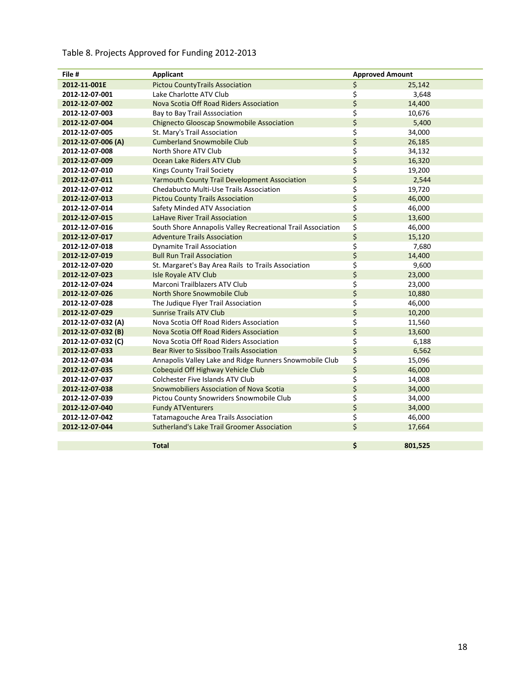#### Table 8. Projects Approved for Funding 2012-2013

| File #             | Applicant                                                   | <b>Approved Amount</b> |
|--------------------|-------------------------------------------------------------|------------------------|
| 2012-11-001E       | <b>Pictou CountyTrails Association</b>                      | \$<br>25,142           |
| 2012-12-07-001     | Lake Charlotte ATV Club                                     | \$<br>3,648            |
| 2012-12-07-002     | Nova Scotia Off Road Riders Association                     | \$<br>14,400           |
| 2012-12-07-003     | Bay to Bay Trail Asssociation                               | \$<br>10,676           |
| 2012-12-07-004     | <b>Chignecto Glooscap Snowmobile Association</b>            | \$<br>5,400            |
| 2012-12-07-005     | St. Mary's Trail Association                                | \$<br>34,000           |
| 2012-12-07-006 (A) | <b>Cumberland Snowmobile Club</b>                           | \$<br>26,185           |
| 2012-12-07-008     | North Shore ATV Club                                        | \$<br>34,132           |
| 2012-12-07-009     | Ocean Lake Riders ATV Club                                  | \$<br>16,320           |
| 2012-12-07-010     | Kings County Trail Society                                  | \$<br>19,200           |
| 2012-12-07-011     | <b>Yarmouth County Trail Development Association</b>        | \$<br>2,544            |
| 2012-12-07-012     | Chedabucto Multi-Use Trails Association                     | \$<br>19,720           |
| 2012-12-07-013     | <b>Pictou County Trails Association</b>                     | \$<br>46,000           |
| 2012-12-07-014     | Safety Minded ATV Association                               | \$<br>46,000           |
| 2012-12-07-015     | LaHave River Trail Association                              | \$<br>13,600           |
| 2012-12-07-016     | South Shore Annapolis Valley Recreational Trail Association | \$<br>46,000           |
| 2012-12-07-017     | <b>Adventure Trails Association</b>                         | \$<br>15,120           |
| 2012-12-07-018     | <b>Dynamite Trail Association</b>                           | \$<br>7,680            |
| 2012-12-07-019     | <b>Bull Run Trail Association</b>                           | \$<br>14,400           |
| 2012-12-07-020     | St. Margaret's Bay Area Rails to Trails Association         | \$<br>9,600            |
| 2012-12-07-023     | Isle Royale ATV Club                                        | \$<br>23,000           |
| 2012-12-07-024     | Marconi Trailblazers ATV Club                               | \$<br>23,000           |
| 2012-12-07-026     | <b>North Shore Snowmobile Club</b>                          | \$<br>10,880           |
| 2012-12-07-028     | The Judique Flyer Trail Association                         | \$<br>46,000           |
| 2012-12-07-029     | <b>Sunrise Trails ATV Club</b>                              | \$<br>10,200           |
| 2012-12-07-032 (A) | Nova Scotia Off Road Riders Association                     | \$<br>11,560           |
| 2012-12-07-032 (B) | Nova Scotia Off Road Riders Association                     | \$<br>13,600           |
| 2012-12-07-032 (C) | Nova Scotia Off Road Riders Association                     | \$<br>6,188            |
| 2012-12-07-033     | Bear River to Sissiboo Trails Association                   | \$<br>6,562            |
| 2012-12-07-034     | Annapolis Valley Lake and Ridge Runners Snowmobile Club     | \$<br>15,096           |
| 2012-12-07-035     | Cobequid Off Highway Vehicle Club                           | \$<br>46,000           |
| 2012-12-07-037     | Colchester Five Islands ATV Club                            | \$<br>14,008           |
| 2012-12-07-038     | Snowmobiliers Association of Nova Scotia                    | \$<br>34,000           |
| 2012-12-07-039     | Pictou County Snowriders Snowmobile Club                    | \$<br>34,000           |
| 2012-12-07-040     | <b>Fundy ATVenturers</b>                                    | \$<br>34,000           |
| 2012-12-07-042     | Tatamagouche Area Trails Association                        | \$<br>46,000           |
| 2012-12-07-044     | Sutherland's Lake Trail Groomer Association                 | \$<br>17,664           |
|                    |                                                             |                        |
|                    | <b>Total</b>                                                | \$<br>801,525          |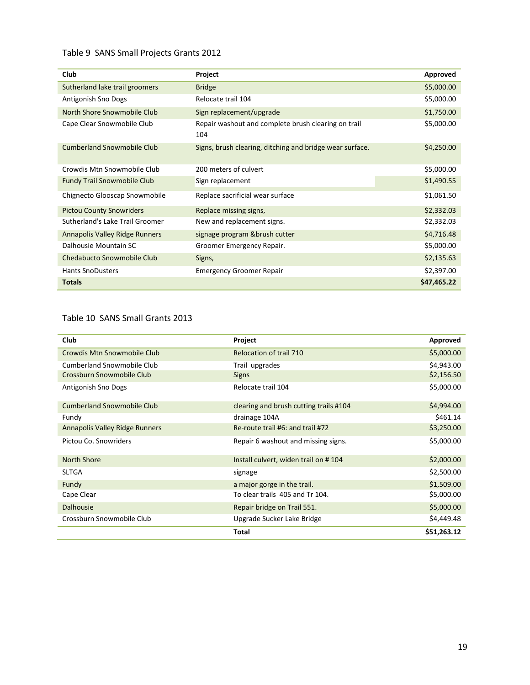#### Table 9 SANS Small Projects Grants 2012

| Club                               | Project                                                    | Approved    |
|------------------------------------|------------------------------------------------------------|-------------|
| Sutherland lake trail groomers     | <b>Bridge</b>                                              | \$5,000.00  |
| Antigonish Sno Dogs                | Relocate trail 104                                         | \$5,000.00  |
| North Shore Snowmobile Club        | Sign replacement/upgrade                                   | \$1,750.00  |
| Cape Clear Snowmobile Club         | Repair washout and complete brush clearing on trail<br>104 | \$5,000.00  |
| <b>Cumberland Snowmobile Club</b>  | Signs, brush clearing, ditching and bridge wear surface.   | \$4,250.00  |
| Crowdis Mtn Snowmobile Club        | 200 meters of culvert                                      | \$5,000.00  |
| <b>Fundy Trail Snowmobile Club</b> | Sign replacement                                           | \$1,490.55  |
| Chignecto Glooscap Snowmobile      | Replace sacrificial wear surface                           | \$1,061.50  |
| <b>Pictou County Snowriders</b>    | Replace missing signs,                                     | \$2,332.03  |
| Sutherland's Lake Trail Groomer    | New and replacement signs.                                 | \$2,332.03  |
| Annapolis Valley Ridge Runners     | signage program & brush cutter                             | \$4,716.48  |
| Dalhousie Mountain SC              | Groomer Emergency Repair.                                  | \$5,000.00  |
| Chedabucto Snowmobile Club         | Signs,                                                     | \$2,135.63  |
| <b>Hants SnoDusters</b>            | <b>Emergency Groomer Repair</b>                            | \$2,397.00  |
| <b>Totals</b>                      |                                                            | \$47,465.22 |

#### Table 10 SANS Small Grants 2013

| Club                              | Project                                | Approved    |
|-----------------------------------|----------------------------------------|-------------|
| Crowdis Mtn Snowmobile Club       | Relocation of trail 710                | \$5,000.00  |
| Cumberland Snowmobile Club        | Trail upgrades                         | \$4,943.00  |
| Crossburn Snowmobile Club         | <b>Signs</b>                           | \$2,156.50  |
| Antigonish Sno Dogs               | Relocate trail 104                     | \$5,000.00  |
| <b>Cumberland Snowmobile Club</b> | clearing and brush cutting trails #104 | \$4,994.00  |
| Fundy                             | drainage 104A                          | \$461.14    |
| Annapolis Valley Ridge Runners    | Re-route trail #6: and trail #72       | \$3,250.00  |
| Pictou Co. Snowriders             | Repair 6 washout and missing signs.    | \$5,000.00  |
| <b>North Shore</b>                | Install culvert, widen trail on #104   | \$2,000.00  |
| <b>SLTGA</b>                      | signage                                | \$2,500.00  |
| Fundy                             | a major gorge in the trail.            | \$1,509.00  |
| Cape Clear                        | To clear trails 405 and Tr 104.        | \$5,000.00  |
| <b>Dalhousie</b>                  | Repair bridge on Trail 551.            | \$5,000.00  |
| Crossburn Snowmobile Club         | Upgrade Sucker Lake Bridge             | \$4,449.48  |
|                                   | <b>Total</b>                           | \$51,263.12 |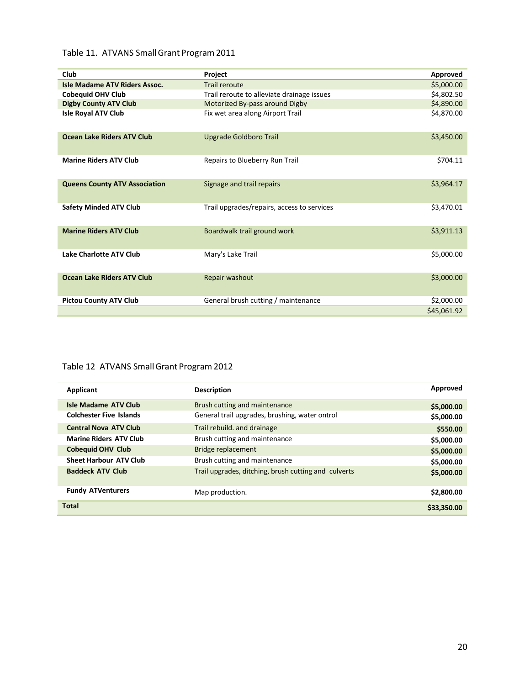#### Table 11. ATVANS Small Grant Program 2011

| Club                                 | Project                                    | Approved    |
|--------------------------------------|--------------------------------------------|-------------|
| <b>Isle Madame ATV Riders Assoc.</b> | <b>Trail reroute</b>                       | \$5,000.00  |
| <b>Cobequid OHV Club</b>             | Trail reroute to alleviate drainage issues | \$4,802.50  |
| <b>Digby County ATV Club</b>         | Motorized By-pass around Digby             | \$4,890.00  |
| <b>Isle Royal ATV Club</b>           | Fix wet area along Airport Trail           | \$4,870.00  |
| <b>Ocean Lake Riders ATV Club</b>    | Upgrade Goldboro Trail                     | \$3,450.00  |
| <b>Marine Riders ATV Club</b>        | Repairs to Blueberry Run Trail             | \$704.11    |
| <b>Queens County ATV Association</b> | Signage and trail repairs                  | \$3,964.17  |
| <b>Safety Minded ATV Club</b>        | Trail upgrades/repairs, access to services | \$3,470.01  |
| <b>Marine Riders ATV Club</b>        | Boardwalk trail ground work                | \$3,911.13  |
| <b>Lake Charlotte ATV Club</b>       | Mary's Lake Trail                          | \$5,000.00  |
| <b>Ocean Lake Riders ATV Club</b>    | Repair washout                             | \$3,000.00  |
| <b>Pictou County ATV Club</b>        | General brush cutting / maintenance        | \$2,000.00  |
|                                      |                                            | \$45,061.92 |

#### Table 12 ATVANS Small Grant Program 2012

| Applicant                      | <b>Description</b>                                   | Approved    |
|--------------------------------|------------------------------------------------------|-------------|
| <b>Isle Madame ATV Club</b>    | Brush cutting and maintenance                        | \$5,000.00  |
| <b>Colchester Five Islands</b> | General trail upgrades, brushing, water ontrol       | \$5,000.00  |
| <b>Central Nova ATV Club</b>   | Trail rebuild, and drainage                          | \$550.00    |
| <b>Marine Riders ATV Club</b>  | Brush cutting and maintenance                        | \$5,000.00  |
| <b>Cobequid OHV Club</b>       | Bridge replacement                                   | \$5,000.00  |
| <b>Sheet Harbour ATV Club</b>  | Brush cutting and maintenance                        | \$5,000.00  |
| <b>Baddeck ATV Club</b>        | Trail upgrades, ditching, brush cutting and culverts | \$5,000.00  |
| <b>Fundy ATVenturers</b>       | Map production.                                      | \$2,800.00  |
| <b>Total</b>                   |                                                      | \$33,350.00 |